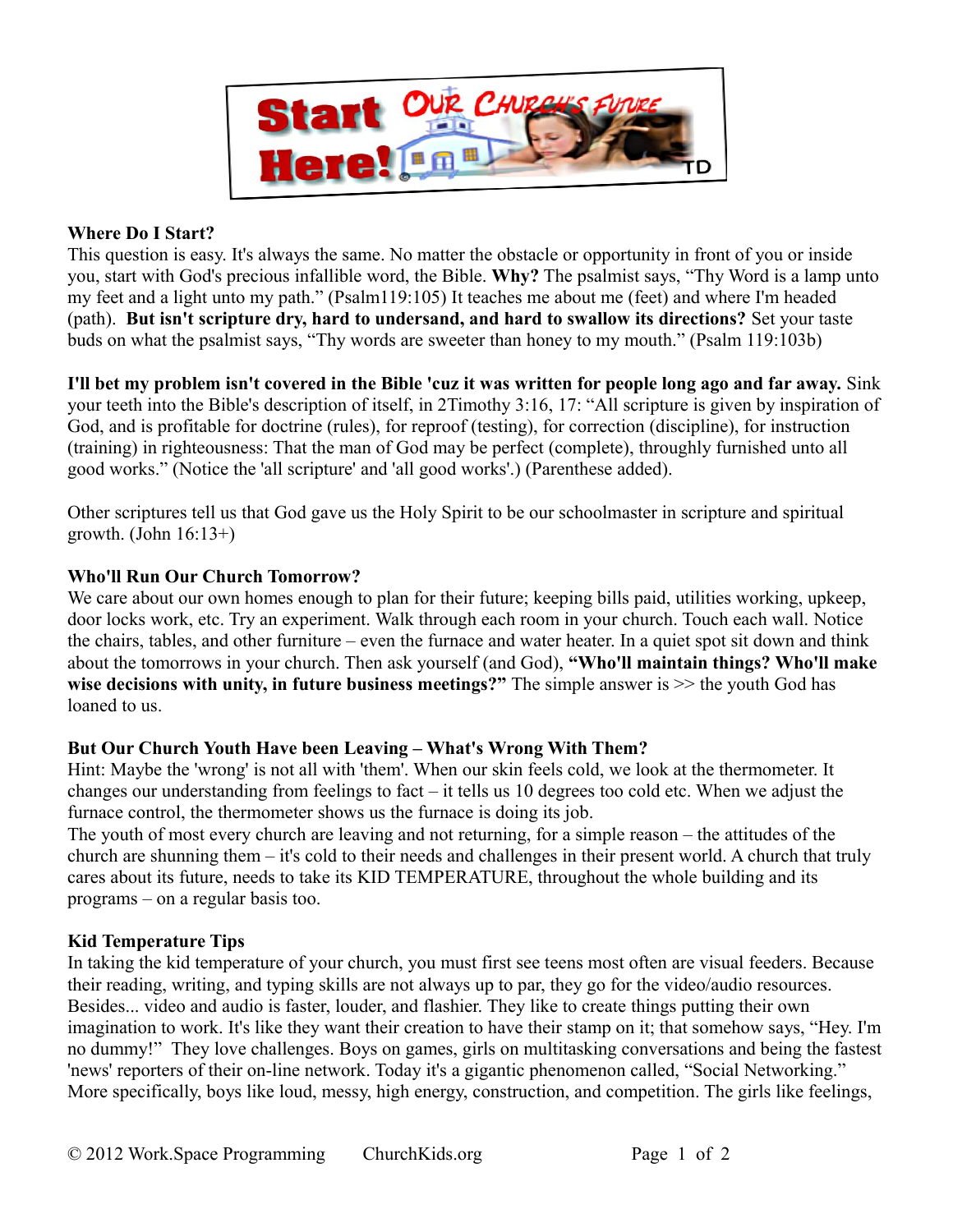

### **Where Do I Start?**

This question is easy. It's always the same. No matter the obstacle or opportunity in front of you or inside you, start with God's precious infallible word, the Bible. **Why?** The psalmist says, "Thy Word is a lamp unto my feet and a light unto my path." (Psalm119:105) It teaches me about me (feet) and where I'm headed (path). **But isn't scripture dry, hard to undersand, and hard to swallow its directions?** Set your taste buds on what the psalmist says, "Thy words are sweeter than honey to my mouth." (Psalm 119:103b)

**I'll bet my problem isn't covered in the Bible 'cuz it was written for people long ago and far away.** Sink your teeth into the Bible's description of itself, in 2Timothy 3:16, 17: "All scripture is given by inspiration of God, and is profitable for doctrine (rules), for reproof (testing), for correction (discipline), for instruction (training) in righteousness: That the man of God may be perfect (complete), throughly furnished unto all good works." (Notice the 'all scripture' and 'all good works'.) (Parenthese added).

Other scriptures tell us that God gave us the Holy Spirit to be our schoolmaster in scripture and spiritual growth. (John  $16:13+$ )

## **Who'll Run Our Church Tomorrow?**

We care about our own homes enough to plan for their future; keeping bills paid, utilities working, upkeep, door locks work, etc. Try an experiment. Walk through each room in your church. Touch each wall. Notice the chairs, tables, and other furniture – even the furnace and water heater. In a quiet spot sit down and think about the tomorrows in your church. Then ask yourself (and God), **"Who'll maintain things? Who'll make wise decisions with unity, in future business meetings?"** The simple answer is >> the youth God has loaned to us.

#### **But Our Church Youth Have been Leaving – What's Wrong With Them?**

Hint: Maybe the 'wrong' is not all with 'them'. When our skin feels cold, we look at the thermometer. It changes our understanding from feelings to fact  $-$  it tells us 10 degrees too cold etc. When we adjust the furnace control, the thermometer shows us the furnace is doing its job.

The youth of most every church are leaving and not returning, for a simple reason – the attitudes of the church are shunning them – it's cold to their needs and challenges in their present world. A church that truly cares about its future, needs to take its KID TEMPERATURE, throughout the whole building and its programs – on a regular basis too.

# **Kid Temperature Tips**

In taking the kid temperature of your church, you must first see teens most often are visual feeders. Because their reading, writing, and typing skills are not always up to par, they go for the video/audio resources. Besides... video and audio is faster, louder, and flashier. They like to create things putting their own imagination to work. It's like they want their creation to have their stamp on it; that somehow says, "Hey. I'm no dummy!" They love challenges. Boys on games, girls on multitasking conversations and being the fastest 'news' reporters of their on-line network. Today it's a gigantic phenomenon called, "Social Networking." More specifically, boys like loud, messy, high energy, construction, and competition. The girls like feelings,